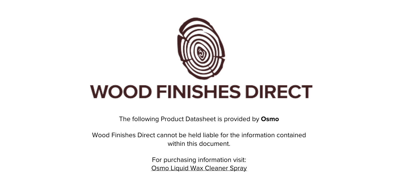

The following Product Datasheet is provided by **Osmo**

Wood Finishes Direct cannot be held liable for the information contained within this document

> For purchasing information visit: [Osmo Liquid Wax Cleaner Spray](https://www.wood-finishes-direct.com/product/osmo-liquid-wax-cleaner-spray)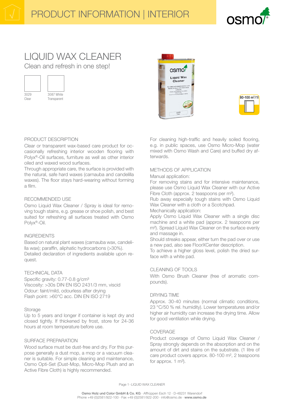

# **LIQUID WAX CLEANER** Clean and refresh in one step!



Clear

Transparent





# PRODUCT DESCRIPTION

Clear or transparent wax-based care product for occasionally refreshing interior wooden flooring with Polyx®-Oil surfaces, furniture as well as other interior oiled and waxed wood surfaces.

Through appropriate care, the surface is provided with the natural, safe hard waxes (carnauba and candelilla waxes). The floor stays hard-wearing without forming a film.

# RECOMMENDED USE

Osmo Liquid Wax Cleaner / Spray is ideal for removing tough stains, e.g. grease or shoe polish, and best suited for refreshing all surfaces treated with Osmo Polyx®-Oil.

# **INGREDIENTS**

Based on natural plant waxes (carnauba wax, candelilla wax); paraffin, aliphatic hydrocarbons (>30%). Detailed declaration of ingredients available upon request.

# **TECHNICAL DATA**

Specific gravity: 0.77-0.8 g/cm<sup>3</sup> Viscosity: >30s DIN EN ISO 2431/3 mm, viscid Odour: faint/mild, odourless after drying Flash point: >60°C acc. DIN EN ISO 2719

# Storage

Up to 5 years and longer if container is kept dry and closed tightly. If thickened by frost, store for 24-36 hours at room temperature before use.

# **SURFACE PREPARATION**

Wood surface must be dust-free and dry. For this purpose generally a dust mop, a mop or a vacuum cleaner is suitable. For simple cleaning and maintenance, Osmo Opti-Set (Dust-Mop, Micro-Mop Plush and an Active Fibre Cloth) is highly recommended.

For cleaning high-traffic and heavily soiled flooring. e.g. in public spaces, use Osmo Micro-Mop (water mixed with Osmo Wash and Care) and buffed dry afterwards.

# METHODS OF APPLICATION

Manual application:

For removing stains and for intensive maintenance, please use Osmo Liquid Wax Cleaner with our Active Fibre Cloth (approx. 2 teaspoons per m<sup>2</sup>).

Rub away especially tough stains with Osmo Liquid Wax Cleaner with a cloth or a Scotchpad.

Mechanically application:

Apply Osmo Liquid Wax Cleaner with a single disc machine and a white pad (approx. 2 teaspoons per m<sup>2</sup>). Spread Liquid Wax Cleaner on the surface evenly and massage in.

Should streaks appear, either turn the pad over or use a new pad, also see FloorXCenter description.

To achieve a higher gloss level, polish the dried surface with a white pad.

# **CLEANING OF TOOLS**

With Osmo Brush Cleaner (free of aromatic compounds).

# **DRYING TIME**

Approx. 30-40 minutes (normal climatic conditions, 23 °C/50 % rel. humidity). Lower temperatures and/or higher air humidity can increase the drying time. Allow for good ventilation while drying.

# COVERAGE

Product coverage of Osmo Liquid Wax Cleaner / Spray strongly depends on the absorption and on the amount of dirt and stains on the substrate. (1 litre of care product covers approx. 80-100 m<sup>2</sup>, 2 teaspoons for approx.  $1 \text{ m}^2$ ).

Page 1 - LIQUID WAX CLEANER